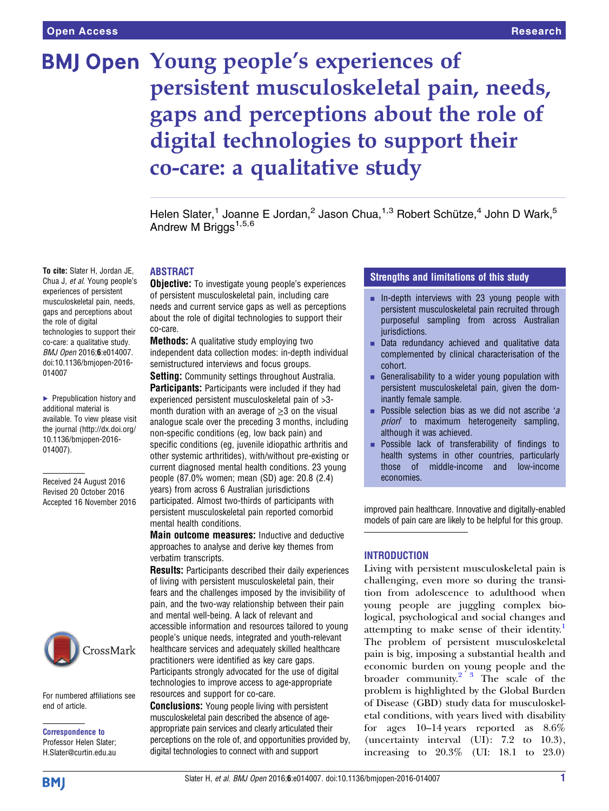# BMJ Open Young people's experiences of persistent musculoskeletal pain, needs, gaps and perceptions about the role of digital technologies to support their co-care: a qualitative study

Helen Slater,<sup>1</sup> Joanne E Jordan,<sup>2</sup> Jason Chua,<sup>1,3</sup> Robert Schütze,<sup>4</sup> John D Wark,<sup>5</sup> Andrew M Briggs $^{1,5,6}$ 

#### **ARSTRACT**

**Objective:** To investigate young people's experiences of persistent musculoskeletal pain, including care needs and current service gaps as well as perceptions about the role of digital technologies to support their co-care.

**Methods:** A qualitative study employing two independent data collection modes: in-depth individual semistructured interviews and focus groups.

Setting: Community settings throughout Australia.

**Participants:** Participants were included if they had experienced persistent musculoskeletal pain of >3 month duration with an average of ≥3 on the visual analogue scale over the preceding 3 months, including non-specific conditions (eg, low back pain) and specific conditions (eg, juvenile idiopathic arthritis and other systemic arthritides), with/without pre-existing or current diagnosed mental health conditions. 23 young people (87.0% women; mean (SD) age: 20.8 (2.4) years) from across 6 Australian jurisdictions participated. Almost two-thirds of participants with persistent musculoskeletal pain reported comorbid mental health conditions.

Main outcome measures: Inductive and deductive approaches to analyse and derive key themes from verbatim transcripts.

Results: Participants described their daily experiences of living with persistent musculoskeletal pain, their fears and the challenges imposed by the invisibility of pain, and the two-way relationship between their pain and mental well-being. A lack of relevant and accessible information and resources tailored to young people's unique needs, integrated and youth-relevant healthcare services and adequately skilled healthcare practitioners were identified as key care gaps. Participants strongly advocated for the use of digital technologies to improve access to age-appropriate resources and support for co-care.

**Conclusions:** Young people living with persistent musculoskeletal pain described the absence of ageappropriate pain services and clearly articulated their perceptions on the role of, and opportunities provided by, digital technologies to connect with and support

## Strengths and limitations of this study

- $\blacksquare$  In-depth interviews with 23 young people with persistent musculoskeletal pain recruited through purposeful sampling from across Australian jurisdictions.
- Data redundancy achieved and qualitative data complemented by clinical characterisation of the cohort.
- $\blacksquare$  Generalisability to a wider young population with persistent musculoskeletal pain, given the dominantly female sample.
- Possible selection bias as we did not ascribe 'a priori to maximum heterogeneity sampling. although it was achieved.
- **EXECUTE:** Possible lack of transferability of findings to health systems in other countries, particularly those of middle-income and low-income economies.

improved pain healthcare. Innovative and digitally-enabled models of pain care are likely to be helpful for this group.

#### INTRODUCTION

Living with persistent musculoskeletal pain is challenging, even more so during the transition from adolescence to adulthood when young people are juggling complex biological, psychological and social changes and attempting to make sense of their identity.<sup>1</sup> The problem of persistent musculoskeletal pain is big, imposing a substantial health and economic burden on young people and the broader community. $2^{3}$  The scale of the problem is highlighted by the Global Burden of Disease (GBD) study data for musculoskeletal conditions, with years lived with disability for ages 10–14 years reported as 8.6% (uncertainty interval (UI): 7.2 to 10.3), increasing to 20.3% (UI: 18.1 to 23.0)

To cite: Slater H, Jordan JE, Chua J, et al. Young people's experiences of persistent musculoskeletal pain, needs, gaps and perceptions about the role of digital technologies to support their co-care: a qualitative study. BMJ Open 2016;6:e014007. doi:10.1136/bmjopen-2016- 014007

▶ Prepublication history and additional material is available. To view please visit the journal [\(http://dx.doi.org/](http://dx.doi.org/10.1136/bmjopen-2016-014007) [10.1136/bmjopen-2016-](http://dx.doi.org/10.1136/bmjopen-2016-014007) [014007\)](http://dx.doi.org/10.1136/bmjopen-2016-014007).

Received 24 August 2016 Revised 20 October 2016 Accepted 16 November 2016



For numbered affiliations see end of article.

Correspondence to Professor Helen Slater; H.Slater@curtin.edu.au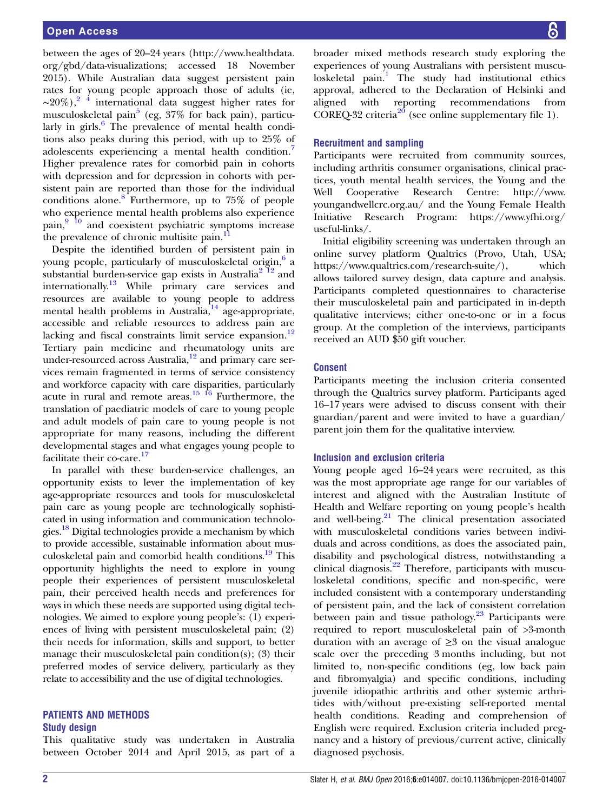between the ages of 20–24 years ([http://www.healthdata.](http://www.healthdata.org/gbd/data-visualizations) [org/gbd/data-visualizations;](http://www.healthdata.org/gbd/data-visualizations) accessed 18 November 2015). While Australian data suggest persistent pain rates for young people approach those of adults (ie,  $\sim$ [2](#page-8-0)0%),<sup>2</sup><sup>4</sup> international data suggest higher rates for musculoskeletal pain<sup>[5](#page-9-0)</sup> (eg,  $37\%$  for back pain), particularly in girls. $<sup>6</sup>$  $<sup>6</sup>$  $<sup>6</sup>$  The prevalence of mental health condi-</sup> tions also peaks during this period, with up to 25% of adolescents experiencing a mental health condition.<sup>[7](#page-9-0)</sup> Higher prevalence rates for comorbid pain in cohorts with depression and for depression in cohorts with persistent pain are reported than those for the individual conditions alone. $8$  Furthermore, up to 75% of people who experience mental health problems also experience pain, $9\overline{10}$  and coexistent psychiatric symptoms increase the prevalence of chronic multisite pain.<sup>1</sup>

Despite the identified burden of persistent pain in young people, particularly of musculoskeletal origin, $6 \text{ a}$  $6 \text{ a}$ substantial burden-service gap exists in Australia<sup>2 [12](#page-9-0)</sup> and internationally[.13](#page-9-0) While primary care services and resources are available to young people to address mental health problems in Australia, $14 \text{ age-appropriate}$  $14 \text{ age-appropriate}$ , accessible and reliable resources to address pain are lacking and fiscal constraints limit service expansion.<sup>[12](#page-9-0)</sup> Tertiary pain medicine and rheumatology units are under-resourced across Australia, $12$  and primary care services remain fragmented in terms of service consistency and workforce capacity with care disparities, particularly acute in rural and remote areas. $15$   $16$  Furthermore, the translation of paediatric models of care to young people and adult models of pain care to young people is not appropriate for many reasons, including the different developmental stages and what engages young people to facilitate their co-care.<sup>[17](#page-9-0)</sup>

In parallel with these burden-service challenges, an opportunity exists to lever the implementation of key age-appropriate resources and tools for musculoskeletal pain care as young people are technologically sophisticated in using information and communication technologies.<sup>18</sup> Digital technologies provide a mechanism by which to provide accessible, sustainable information about mus-culoskeletal pain and comorbid health conditions.<sup>[19](#page-9-0)</sup> This opportunity highlights the need to explore in young people their experiences of persistent musculoskeletal pain, their perceived health needs and preferences for ways in which these needs are supported using digital technologies. We aimed to explore young people's: (1) experiences of living with persistent musculoskeletal pain; (2) their needs for information, skills and support, to better manage their musculoskeletal pain condition(s); (3) their preferred modes of service delivery, particularly as they relate to accessibility and the use of digital technologies.

# PATIENTS AND METHODS

#### Study design

This qualitative study was undertaken in Australia between October 2014 and April 2015, as part of a

broader mixed methods research study exploring the experiences of young Australians with persistent muscu $loskeletal$  pain.<sup>[1](#page-8-0)</sup> The study had institutional ethics approval, adhered to the Declaration of Helsinki and aligned with reporting recommendations from COREQ-32 criteria<sup>[20](#page-9-0)</sup> (see online [supplementary](http://dx.doi.org/10.1136/bmjopen-2016-014007) file 1).

#### Recruitment and sampling

Participants were recruited from community sources, including arthritis consumer organisations, clinical practices, youth mental health services, the Young and the Well Cooperative Research Centre: [http://www.](http://www.youngandwellcrc.org.au/) [youngandwellcrc.org.au/](http://www.youngandwellcrc.org.au/) and the Young Female Health Initiative Research Program: [https://www.yfhi.org/](https://www.yfhi.org/useful-links/) [useful-links/.](https://www.yfhi.org/useful-links/)

Initial eligibility screening was undertaken through an online survey platform Qualtrics (Provo, Utah, USA; <https://www.qualtrics.com/research-suite/>), which allows tailored survey design, data capture and analysis. Participants completed questionnaires to characterise their musculoskeletal pain and participated in in-depth qualitative interviews; either one-to-one or in a focus group. At the completion of the interviews, participants received an AUD \$50 gift voucher.

#### Consent

Participants meeting the inclusion criteria consented through the Qualtrics survey platform. Participants aged 16–17 years were advised to discuss consent with their guardian/parent and were invited to have a guardian/ parent join them for the qualitative interview.

#### Inclusion and exclusion criteria

Young people aged 16–24 years were recruited, as this was the most appropriate age range for our variables of interest and aligned with the Australian Institute of Health and Welfare reporting on young people's health and well-being. $21$  The clinical presentation associated with musculoskeletal conditions varies between individuals and across conditions, as does the associated pain, disability and psychological distress, notwithstanding a clinical diagnosis.[22](#page-9-0) Therefore, participants with musculoskeletal conditions, specific and non-specific, were included consistent with a contemporary understanding of persistent pain, and the lack of consistent correlation between pain and tissue pathology. $23$  Participants were required to report musculoskeletal pain of >3-month duration with an average of  $\geq$ 3 on the visual analogue scale over the preceding 3 months including, but not limited to, non-specific conditions (eg, low back pain and fibromyalgia) and specific conditions, including juvenile idiopathic arthritis and other systemic arthritides with/without pre-existing self-reported mental health conditions. Reading and comprehension of English were required. Exclusion criteria included pregnancy and a history of previous/current active, clinically diagnosed psychosis.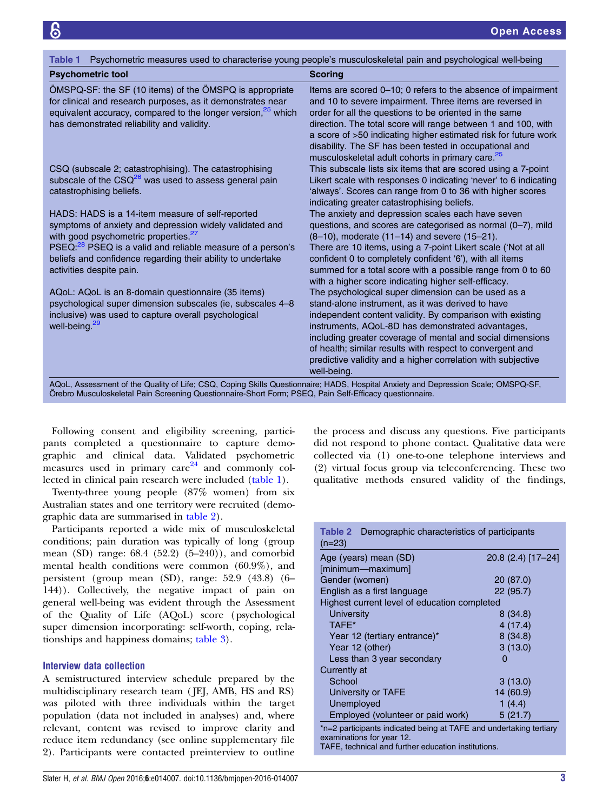<span id="page-2-0"></span>

| Table 1                                                                                                                                                                                                                                                                                                                              | Psychometric measures used to characterise young people's musculoskeletal pain and psychological well-being                                                                                                                                                                                                                                                                                                                                      |
|--------------------------------------------------------------------------------------------------------------------------------------------------------------------------------------------------------------------------------------------------------------------------------------------------------------------------------------|--------------------------------------------------------------------------------------------------------------------------------------------------------------------------------------------------------------------------------------------------------------------------------------------------------------------------------------------------------------------------------------------------------------------------------------------------|
| <b>Psychometric tool</b>                                                                                                                                                                                                                                                                                                             | <b>Scoring</b>                                                                                                                                                                                                                                                                                                                                                                                                                                   |
| ÖMSPQ-SF: the SF (10 items) of the ÖMSPQ is appropriate<br>for clinical and research purposes, as it demonstrates near<br>equivalent accuracy, compared to the longer version, <sup>25</sup> which<br>has demonstrated reliability and validity.                                                                                     | Items are scored 0-10; 0 refers to the absence of impairment<br>and 10 to severe impairment. Three items are reversed in<br>order for all the questions to be oriented in the same<br>direction. The total score will range between 1 and 100, with<br>a score of >50 indicating higher estimated risk for future work<br>disability. The SF has been tested in occupational and<br>musculoskeletal adult cohorts in primary care. <sup>25</sup> |
| CSQ (subscale 2; catastrophising). The catastrophising<br>subscale of the $CSQ^{26}$ was used to assess general pain<br>catastrophising beliefs.                                                                                                                                                                                     | This subscale lists six items that are scored using a 7-point<br>Likert scale with responses 0 indicating 'never' to 6 indicating<br>'always'. Scores can range from 0 to 36 with higher scores<br>indicating greater catastrophising beliefs.                                                                                                                                                                                                   |
| HADS: HADS is a 14-item measure of self-reported<br>symptoms of anxiety and depression widely validated and<br>with good psychometric properties. <sup>27</sup><br>PSEQ: <sup>28</sup> PSEQ is a valid and reliable measure of a person's<br>beliefs and confidence regarding their ability to undertake<br>activities despite pain. | The anxiety and depression scales each have seven<br>questions, and scores are categorised as normal (0-7), mild<br>$(8-10)$ , moderate $(11-14)$ and severe $(15-21)$ .<br>There are 10 items, using a 7-point Likert scale ('Not at all<br>confident 0 to completely confident '6'), with all items<br>summed for a total score with a possible range from 0 to 60<br>with a higher score indicating higher self-efficacy.                     |
| AQoL: AQoL is an 8-domain questionnaire (35 items)<br>psychological super dimension subscales (ie, subscales 4-8<br>inclusive) was used to capture overall psychological<br>well-being. <sup>29</sup>                                                                                                                                | The psychological super dimension can be used as a<br>stand-alone instrument, as it was derived to have<br>independent content validity. By comparison with existing<br>instruments, AQoL-8D has demonstrated advantages,<br>including greater coverage of mental and social dimensions<br>of health; similar results with respect to convergent and<br>predictive validity and a higher correlation with subjective<br>well-being.              |

AQoL, Assessment of the Quality of Life; CSQ, Coping Skills Questionnaire; HADS, Hospital Anxiety and Depression Scale; OMSPQ-SF, Örebro Musculoskeletal Pain Screening Questionnaire-Short Form; PSEQ, Pain Self-Efficacy questionnaire.

Following consent and eligibility screening, participants completed a questionnaire to capture demographic and clinical data. Validated psychometric measures used in primary care $24$  and commonly collected in clinical pain research were included (table 1).

Twenty-three young people (87% women) from six Australian states and one territory were recruited (demographic data are summarised in table 2).

Participants reported a wide mix of musculoskeletal conditions; pain duration was typically of long (group mean (SD) range: 68.4 (52.2) (5–240)), and comorbid mental health conditions were common (60.9%), and persistent (group mean (SD), range: 52.9 (43.8) (6– 144)). Collectively, the negative impact of pain on general well-being was evident through the Assessment of the Quality of Life (AQoL) score (psychological super dimension incorporating: self-worth, coping, relationships and happiness domains; [table 3\)](#page-3-0).

#### Interview data collection

A semistructured interview schedule prepared by the multidisciplinary research team ( JEJ, AMB, HS and RS) was piloted with three individuals within the target population (data not included in analyses) and, where relevant, content was revised to improve clarity and reduce item redundancy (see online [supplementary](http://dx.doi.org/10.1136/bmjopen-2016-014007) file [2\)](http://dx.doi.org/10.1136/bmjopen-2016-014007). Participants were contacted preinterview to outline

the process and discuss any questions. Five participants did not respond to phone contact. Qualitative data were collected via (1) one-to-one telephone interviews and (2) virtual focus group via teleconferencing. These two qualitative methods ensured validity of the findings,

| <b>Table 2</b> Demographic characteristics of participants<br>$(n=23)$ |                    |  |  |  |  |
|------------------------------------------------------------------------|--------------------|--|--|--|--|
| Age (years) mean (SD)                                                  | 20.8 (2.4) [17-24] |  |  |  |  |
| [minimum-maximum]                                                      |                    |  |  |  |  |
| Gender (women)<br>20 (87.0)                                            |                    |  |  |  |  |
| 22(95.7)<br>English as a first language                                |                    |  |  |  |  |
| Highest current level of education completed                           |                    |  |  |  |  |
| University                                                             | 8(34.8)            |  |  |  |  |
| TAFF*                                                                  | 4(17.4)            |  |  |  |  |
| Year 12 (tertiary entrance)*                                           | 8(34.8)            |  |  |  |  |
| Year 12 (other)                                                        | 3(13.0)            |  |  |  |  |
| Less than 3 year secondary                                             |                    |  |  |  |  |
| Currently at                                                           |                    |  |  |  |  |
| School                                                                 | 3(13.0)            |  |  |  |  |
| University or TAFE                                                     | 14 (60.9)          |  |  |  |  |
| Unemployed                                                             | 1(4.4)             |  |  |  |  |
| Employed (volunteer or paid work)                                      | 5(21.7)            |  |  |  |  |
| $*$ n-2 participants indicated being at TAFF and undertaking tertian   |                    |  |  |  |  |

 $emg$  at TAFE and under examinations for year 12.

TAFE, technical and further education institutions.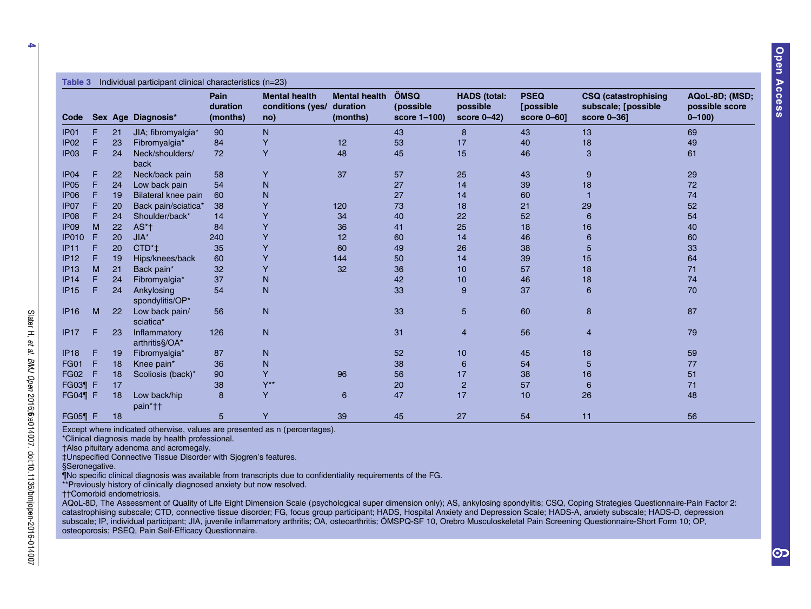<span id="page-3-0"></span>

| Individual participant clinical characteristics (n=23)<br>Table 3 |   |    |                                |                              |                                                 |                                              |                                           |                                                   |                                         |                                                                   |                                               |
|-------------------------------------------------------------------|---|----|--------------------------------|------------------------------|-------------------------------------------------|----------------------------------------------|-------------------------------------------|---------------------------------------------------|-----------------------------------------|-------------------------------------------------------------------|-----------------------------------------------|
| Code                                                              |   |    | Sex Age Diagnosis*             | Pain<br>duration<br>(months) | <b>Mental health</b><br>conditions (yes/<br>no) | <b>Mental health</b><br>duration<br>(months) | <b>ÖMSQ</b><br>(possible)<br>score 1-100) | <b>HADS</b> (total:<br>possible<br>score $0-42$ ) | <b>PSEQ</b><br>[possible<br>score 0-60] | <b>CSQ (catastrophising</b><br>subscale; [possible<br>score 0-36] | AQoL-8D; (MSD;<br>possible score<br>$0 - 100$ |
| IP <sub>01</sub>                                                  | F | 21 | JIA; fibromyalgia*             | 90                           | N                                               |                                              | 43                                        | 8                                                 | 43                                      | 13                                                                | 69                                            |
| <b>IP02</b>                                                       | F | 23 | Fibromyalgia*                  | 84                           | Υ                                               | 12                                           | 53                                        | 17                                                | 40                                      | 18                                                                | 49                                            |
| IP <sub>03</sub>                                                  | F | 24 | Neck/shoulders/<br>back        | 72                           | Υ                                               | 48                                           | 45                                        | 15                                                | 46                                      | 3                                                                 | 61                                            |
| IP <sub>04</sub>                                                  | F | 22 | Neck/back pain                 | 58                           | Υ                                               | 37                                           | 57                                        | 25                                                | 43                                      | 9                                                                 | 29                                            |
| <b>IP05</b>                                                       | F | 24 | Low back pain                  | 54                           | N                                               |                                              | 27                                        | 14                                                | 39                                      | 18                                                                | 72                                            |
| <b>IP06</b>                                                       | F | 19 | Bilateral knee pain            | 60                           | N                                               |                                              | 27                                        | 14                                                | 60                                      |                                                                   | 74                                            |
| IP <sub>07</sub>                                                  | F | 20 | Back pain/sciatica*            | 38                           | Ÿ                                               | 120                                          | 73                                        | 18                                                | 21                                      | 29                                                                | 52                                            |
| <b>IP08</b>                                                       | F | 24 | Shoulder/back*                 | 14                           | Ÿ                                               | 34                                           | 40                                        | 22                                                | 52                                      | 6                                                                 | 54                                            |
| IP <sub>09</sub>                                                  | M | 22 | AS*†                           | 84                           | Y                                               | 36                                           | 41                                        | 25                                                | 18                                      | 16                                                                | 40                                            |
| <b>IP010</b>                                                      | F | 20 | $JIA*$                         | 240                          | Ÿ                                               | 12                                           | 60                                        | 14                                                | 46                                      | 6                                                                 | 60                                            |
| <b>IP11</b>                                                       | F | 20 | CTD*‡                          | 35                           | Y                                               | 60                                           | 49                                        | 26                                                | 38                                      | 5                                                                 | 33                                            |
| <b>IP12</b>                                                       | F | 19 | Hips/knees/back                | 60                           | Y                                               | 144                                          | 50                                        | 14                                                | 39                                      | 15                                                                | 64                                            |
| IP13                                                              | M | 21 | Back pain*                     | 32                           | Y                                               | 32                                           | 36                                        | 10                                                | 57                                      | 18                                                                | 71                                            |
| IP14                                                              | F | 24 | Fibromyalgia*                  | 37                           | $\mathsf{N}$                                    |                                              | 42                                        | 10                                                | 46                                      | 18                                                                | 74                                            |
| <b>IP15</b>                                                       | F | 24 | Ankylosing<br>spondylitis/OP*  | 54                           | $\mathsf{N}$                                    |                                              | 33                                        | 9                                                 | 37                                      | 6                                                                 | 70                                            |
| <b>IP16</b>                                                       | M | 22 | Low back pain/<br>sciatica*    | 56                           | N                                               |                                              | 33                                        | 5                                                 | 60                                      | 8                                                                 | 87                                            |
| IP17                                                              | F | 23 | Inflammatory<br>arthritis§/OA* | 126                          | $\mathsf{N}$                                    |                                              | 31                                        | $\overline{4}$                                    | 56                                      | 4                                                                 | 79                                            |
| <b>IP18</b>                                                       | F | 19 | Fibromyalgia*                  | 87                           | N                                               |                                              | 52                                        | 10                                                | 45                                      | 18                                                                | 59                                            |
| <b>FG01</b>                                                       | F | 18 | Knee pain*                     | 36                           | $\mathsf{N}$                                    |                                              | 38                                        | 6                                                 | 54                                      | 5                                                                 | 77                                            |
| <b>FG02</b>                                                       | F | 18 | Scoliosis (back)*              | 90                           | Y                                               | 96                                           | 56                                        | 17                                                | 38                                      | 16                                                                | 51                                            |
| <b>FG031</b>                                                      | F | 17 |                                | 38                           | $Y^{\ast\ast}$                                  |                                              | 20                                        | $\overline{2}$                                    | 57                                      | 6                                                                 | 71                                            |
| $FG04$ <sup>1</sup> $F$                                           |   | 18 | Low back/hip<br>pain*††        | 8                            | Y                                               | 6                                            | 47                                        | 17                                                | 10                                      | 26                                                                | 48                                            |
| $FGO5\P F$                                                        |   | 18 |                                | 5                            | Y                                               | 39                                           | 45                                        | 27                                                | 54                                      | 11                                                                | 56                                            |

Except where indicated otherwise, values are presented as <sup>n</sup> (percentages).

\*Clinical diagnosis made by health professional.

†Also pituitary adenoma and acromegaly.

‡Unspecified Connective Tissue Disorder with Sjogren'<sup>s</sup> features.

§Seronegative.

¶No specific clinical diagnosis was available from transcripts due to confidentiality requirements of the FG.

\*\*Previously history of clinically diagnosed anxiety but now resolved.

††Comorbid endometriosis.

AQoL-8D, The Assessment of Quality of Life Eight Dimension Scale (psychological super dimension only); AS, ankylosing spondylitis; CSQ, Coping Strategies Questionnaire-Pain Factor 2: catastrophising subscale; CTD, connective tissue disorder; FG, focus group participant; HADS, Hospital Anxiety and Depression Scale; HADS-A, anxiety subscale; HADS-D, depression subscale; IP, individual participant; JIA, juvenile inflammatory arthritis; OA, osteoarthritis; ÖMSPQ-SF 10, Orebro Musculoskeletal Pain Screening Questionnaire-Short Form 10; OP, osteoporosis; PSEQ, Pain Self-Efficacy Questionnaire.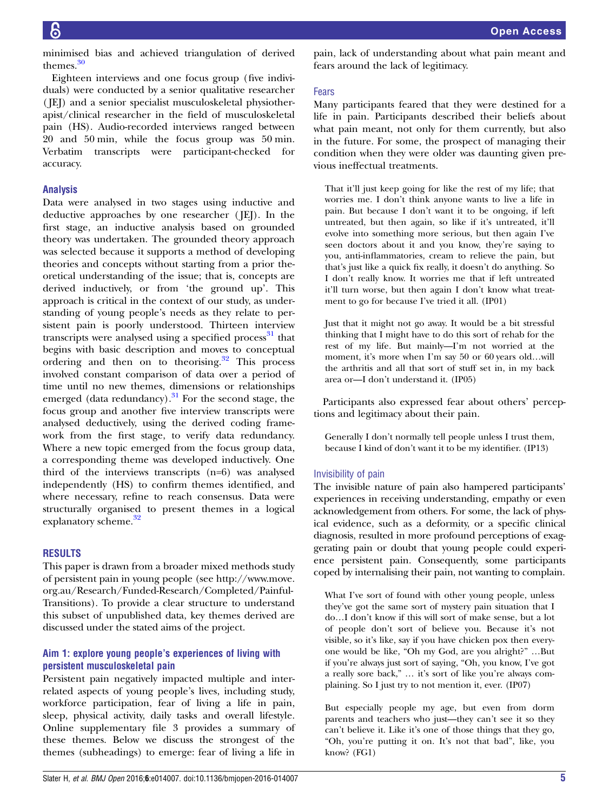minimised bias and achieved triangulation of derived themes.<sup>[30](#page-9-0)</sup>

Eighteen interviews and one focus group (five individuals) were conducted by a senior qualitative researcher ( JEJ) and a senior specialist musculoskeletal physiotherapist/clinical researcher in the field of musculoskeletal pain (HS). Audio-recorded interviews ranged between 20 and 50 min, while the focus group was 50 min. Verbatim transcripts were participant-checked for accuracy.

#### Analysis

Data were analysed in two stages using inductive and deductive approaches by one researcher ( JEJ). In the first stage, an inductive analysis based on grounded theory was undertaken. The grounded theory approach was selected because it supports a method of developing theories and concepts without starting from a prior theoretical understanding of the issue; that is, concepts are derived inductively, or from 'the ground up'. This approach is critical in the context of our study, as understanding of young people's needs as they relate to persistent pain is poorly understood. Thirteen interview transcripts were analysed using a specified process $31$  that begins with basic description and moves to conceptual ordering and then on to theorising.<sup>[32](#page-9-0)</sup> This process involved constant comparison of data over a period of time until no new themes, dimensions or relationships emerged (data redundancy). $31$  For the second stage, the focus group and another five interview transcripts were analysed deductively, using the derived coding framework from the first stage, to verify data redundancy. Where a new topic emerged from the focus group data, a corresponding theme was developed inductively. One third of the interviews transcripts (n=6) was analysed independently (HS) to confirm themes identified, and where necessary, refine to reach consensus. Data were structurally organised to present themes in a logical explanatory scheme.<sup>32</sup>

#### RESULTS

This paper is drawn from a broader mixed methods study of persistent pain in young people (see [http://www.move.](http://www.move.org.au/Research/Funded-Research/Completed/Painful-Transitions) [org.au/Research/Funded-Research/Completed/Painful-](http://www.move.org.au/Research/Funded-Research/Completed/Painful-Transitions)[Transitions\)](http://www.move.org.au/Research/Funded-Research/Completed/Painful-Transitions). To provide a clear structure to understand this subset of unpublished data, key themes derived are discussed under the stated aims of the project.

#### Aim 1: explore young people's experiences of living with persistent musculoskeletal pain

Persistent pain negatively impacted multiple and interrelated aspects of young people's lives, including study, workforce participation, fear of living a life in pain, sleep, physical activity, daily tasks and overall lifestyle. Online [supplementary](http://dx.doi.org/10.1136/bmjopen-2016-014007) file 3 provides a summary of these themes. Below we discuss the strongest of the themes (subheadings) to emerge: fear of living a life in

pain, lack of understanding about what pain meant and fears around the lack of legitimacy.

#### Fears

Many participants feared that they were destined for a life in pain. Participants described their beliefs about what pain meant, not only for them currently, but also in the future. For some, the prospect of managing their condition when they were older was daunting given previous ineffectual treatments.

That it'll just keep going for like the rest of my life; that worries me. I don't think anyone wants to live a life in pain. But because I don't want it to be ongoing, if left untreated, but then again, so like if it's untreated, it'll evolve into something more serious, but then again I've seen doctors about it and you know, they're saying to you, anti-inflammatories, cream to relieve the pain, but that's just like a quick fix really, it doesn't do anything. So I don't really know. It worries me that if left untreated it'll turn worse, but then again I don't know what treatment to go for because I've tried it all. (IP01)

Just that it might not go away. It would be a bit stressful thinking that I might have to do this sort of rehab for the rest of my life. But mainly—I'm not worried at the moment, it's more when I'm say 50 or 60 years old…will the arthritis and all that sort of stuff set in, in my back area or—I don't understand it. (IP05)

Participants also expressed fear about others' perceptions and legitimacy about their pain.

Generally I don't normally tell people unless I trust them, because I kind of don't want it to be my identifier. (IP13)

#### Invisibility of pain

The invisible nature of pain also hampered participants' experiences in receiving understanding, empathy or even acknowledgement from others. For some, the lack of physical evidence, such as a deformity, or a specific clinical diagnosis, resulted in more profound perceptions of exaggerating pain or doubt that young people could experience persistent pain. Consequently, some participants coped by internalising their pain, not wanting to complain.

What I've sort of found with other young people, unless they've got the same sort of mystery pain situation that I do…I don't know if this will sort of make sense, but a lot of people don't sort of believe you. Because it's not visible, so it's like, say if you have chicken pox then everyone would be like, "Oh my God, are you alright?" …But if you're always just sort of saying, "Oh, you know, I've got a really sore back," … it's sort of like you're always complaining. So I just try to not mention it, ever. (IP07)

But especially people my age, but even from dorm parents and teachers who just—they can't see it so they can't believe it. Like it's one of those things that they go, "Oh, you're putting it on. It's not that bad", like, you know? (FG1)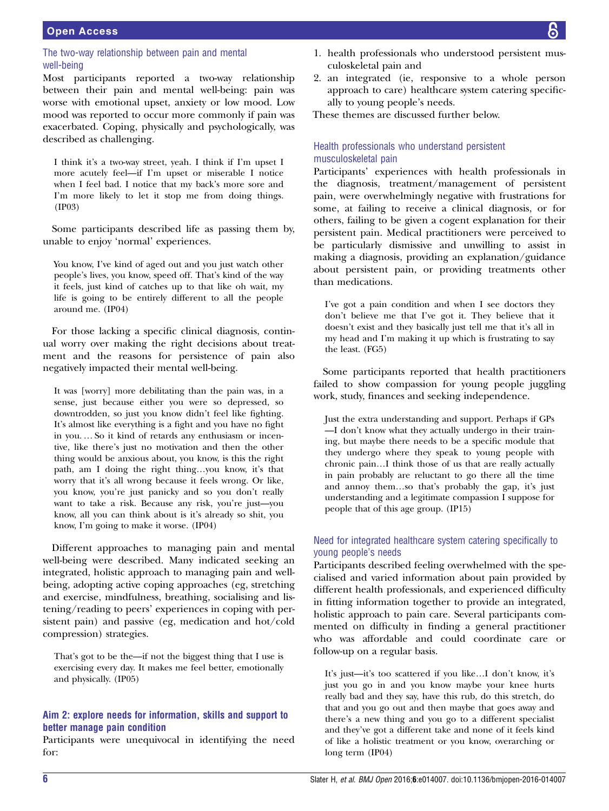#### The two-way relationship between pain and mental well-being

Most participants reported a two-way relationship between their pain and mental well-being: pain was worse with emotional upset, anxiety or low mood. Low mood was reported to occur more commonly if pain was exacerbated. Coping, physically and psychologically, was described as challenging.

I think it's a two-way street, yeah. I think if I'm upset I more acutely feel—if I'm upset or miserable I notice when I feel bad. I notice that my back's more sore and I'm more likely to let it stop me from doing things. (IP03)

Some participants described life as passing them by, unable to enjoy 'normal' experiences.

You know, I've kind of aged out and you just watch other people's lives, you know, speed off. That's kind of the way it feels, just kind of catches up to that like oh wait, my life is going to be entirely different to all the people around me. (IP04)

For those lacking a specific clinical diagnosis, continual worry over making the right decisions about treatment and the reasons for persistence of pain also negatively impacted their mental well-being.

It was [worry] more debilitating than the pain was, in a sense, just because either you were so depressed, so downtrodden, so just you know didn't feel like fighting. It's almost like everything is a fight and you have no fight in you. … So it kind of retards any enthusiasm or incentive, like there's just no motivation and then the other thing would be anxious about, you know, is this the right path, am I doing the right thing…you know, it's that worry that it's all wrong because it feels wrong. Or like, you know, you're just panicky and so you don't really want to take a risk. Because any risk, you're just—you know, all you can think about is it's already so shit, you know, I'm going to make it worse. (IP04)

Different approaches to managing pain and mental well-being were described. Many indicated seeking an integrated, holistic approach to managing pain and wellbeing, adopting active coping approaches (eg, stretching and exercise, mindfulness, breathing, socialising and listening/reading to peers' experiences in coping with persistent pain) and passive (eg, medication and hot/cold compression) strategies.

That's got to be the—if not the biggest thing that I use is exercising every day. It makes me feel better, emotionally and physically. (IP05)

#### Aim 2: explore needs for information, skills and support to better manage pain condition

Participants were unequivocal in identifying the need for:

2. an integrated (ie, responsive to a whole person approach to care) healthcare system catering specifically to young people's needs.

These themes are discussed further below.

#### Health professionals who understand persistent musculoskeletal pain

Participants' experiences with health professionals in the diagnosis, treatment/management of persistent pain, were overwhelmingly negative with frustrations for some, at failing to receive a clinical diagnosis, or for others, failing to be given a cogent explanation for their persistent pain. Medical practitioners were perceived to be particularly dismissive and unwilling to assist in making a diagnosis, providing an explanation/guidance about persistent pain, or providing treatments other than medications.

I've got a pain condition and when I see doctors they don't believe me that I've got it. They believe that it doesn't exist and they basically just tell me that it's all in my head and I'm making it up which is frustrating to say the least. (FG5)

Some participants reported that health practitioners failed to show compassion for young people juggling work, study, finances and seeking independence.

Just the extra understanding and support. Perhaps if GPs —I don't know what they actually undergo in their training, but maybe there needs to be a specific module that they undergo where they speak to young people with chronic pain…I think those of us that are really actually in pain probably are reluctant to go there all the time and annoy them…so that's probably the gap, it's just understanding and a legitimate compassion I suppose for people that of this age group. (IP15)

#### Need for integrated healthcare system catering specifically to young people's needs

Participants described feeling overwhelmed with the specialised and varied information about pain provided by different health professionals, and experienced difficulty in fitting information together to provide an integrated, holistic approach to pain care. Several participants commented on difficulty in finding a general practitioner who was affordable and could coordinate care or follow-up on a regular basis.

It's just—it's too scattered if you like…I don't know, it's just you go in and you know maybe your knee hurts really bad and they say, have this rub, do this stretch, do that and you go out and then maybe that goes away and there's a new thing and you go to a different specialist and they've got a different take and none of it feels kind of like a holistic treatment or you know, overarching or long term (IP04)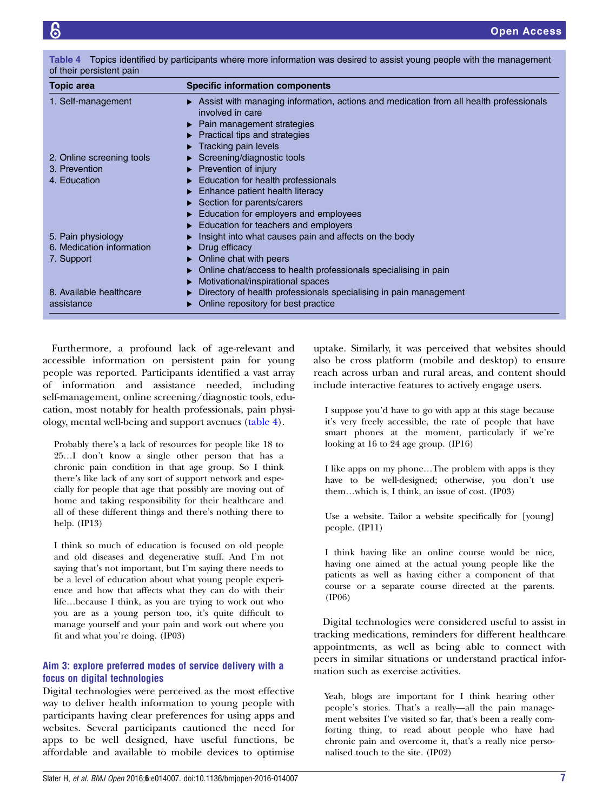| Topic area                | <b>Specific information components</b>                                                 |
|---------------------------|----------------------------------------------------------------------------------------|
| 1. Self-management        | Assist with managing information, actions and medication from all health professionals |
|                           | involved in care                                                                       |
|                           | Pain management strategies                                                             |
|                           | Practical tips and strategies                                                          |
|                           | Tracking pain levels                                                                   |
| 2. Online screening tools | Screening/diagnostic tools                                                             |
| 3. Prevention             | Prevention of injury                                                                   |
| 4. Education              | Education for health professionals                                                     |
|                           | Enhance patient health literacy                                                        |
|                           | Section for parents/carers                                                             |
|                           | Education for employers and employees                                                  |
|                           | Education for teachers and employers                                                   |
| 5. Pain physiology        | Insight into what causes pain and affects on the body                                  |
| 6. Medication information | Drug efficacy                                                                          |
| 7. Support                | Online chat with peers                                                                 |
|                           | Online chat/access to health professionals specialising in pain                        |
|                           | Motivational/inspirational spaces                                                      |
| 8. Available healthcare   | Directory of health professionals specialising in pain management                      |
| assistance                | Online repository for best practice                                                    |

Furthermore, a profound lack of age-relevant and accessible information on persistent pain for young people was reported. Participants identified a vast array of information and assistance needed, including self-management, online screening/diagnostic tools, education, most notably for health professionals, pain physiology, mental well-being and support avenues (table 4).

Probably there's a lack of resources for people like 18 to 25…I don't know a single other person that has a chronic pain condition in that age group. So I think there's like lack of any sort of support network and especially for people that age that possibly are moving out of home and taking responsibility for their healthcare and all of these different things and there's nothing there to help. (IP13)

I think so much of education is focused on old people and old diseases and degenerative stuff. And I'm not saying that's not important, but I'm saying there needs to be a level of education about what young people experience and how that affects what they can do with their life…because I think, as you are trying to work out who you are as a young person too, it's quite difficult to manage yourself and your pain and work out where you fit and what you're doing. (IP03)

## Aim 3: explore preferred modes of service delivery with a focus on digital technologies

Digital technologies were perceived as the most effective way to deliver health information to young people with participants having clear preferences for using apps and websites. Several participants cautioned the need for apps to be well designed, have useful functions, be affordable and available to mobile devices to optimise

uptake. Similarly, it was perceived that websites should also be cross platform (mobile and desktop) to ensure reach across urban and rural areas, and content should include interactive features to actively engage users.

I suppose you'd have to go with app at this stage because it's very freely accessible, the rate of people that have smart phones at the moment, particularly if we're looking at 16 to 24 age group. (IP16)

I like apps on my phone…The problem with apps is they have to be well-designed; otherwise, you don't use them…which is, I think, an issue of cost. (IP03)

Use a website. Tailor a website specifically for [young] people. (IP11)

I think having like an online course would be nice, having one aimed at the actual young people like the patients as well as having either a component of that course or a separate course directed at the parents. (IP06)

Digital technologies were considered useful to assist in tracking medications, reminders for different healthcare appointments, as well as being able to connect with peers in similar situations or understand practical information such as exercise activities.

Yeah, blogs are important for I think hearing other people's stories. That's a really—all the pain management websites I've visited so far, that's been a really comforting thing, to read about people who have had chronic pain and overcome it, that's a really nice personalised touch to the site. (IP02)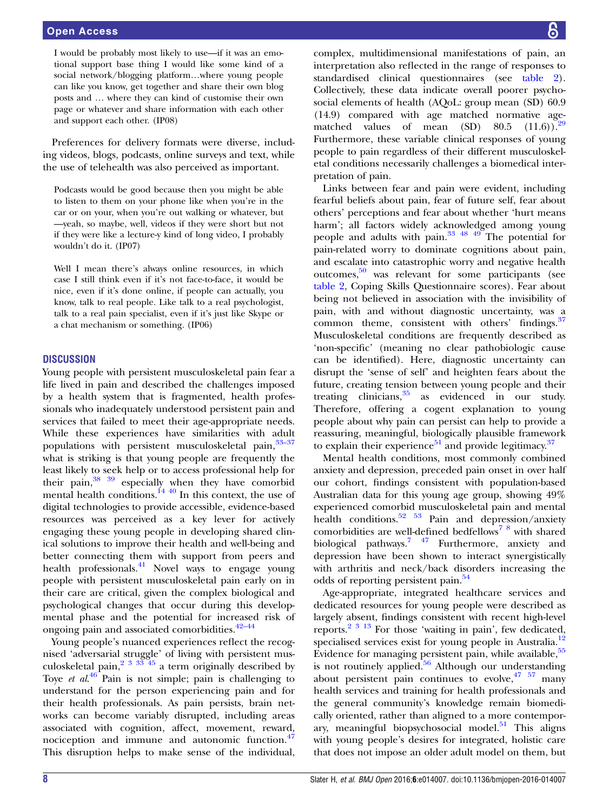I would be probably most likely to use—if it was an emotional support base thing I would like some kind of a social network/blogging platform…where young people can like you know, get together and share their own blog posts and … where they can kind of customise their own page or whatever and share information with each other and support each other. (IP08)

Preferences for delivery formats were diverse, including videos, blogs, podcasts, online surveys and text, while the use of telehealth was also perceived as important.

Podcasts would be good because then you might be able to listen to them on your phone like when you're in the car or on your, when you're out walking or whatever, but —yeah, so maybe, well, videos if they were short but not if they were like a lecture-y kind of long video, I probably wouldn't do it. (IP07)

Well I mean there's always online resources, in which case I still think even if it's not face-to-face, it would be nice, even if it's done online, if people can actually, you know, talk to real people. Like talk to a real psychologist, talk to a real pain specialist, even if it's just like Skype or a chat mechanism or something. (IP06)

#### **DISCUSSION**

Young people with persistent musculoskeletal pain fear a life lived in pain and described the challenges imposed by a health system that is fragmented, health professionals who inadequately understood persistent pain and services that failed to meet their age-appropriate needs. While these experiences have similarities with adult populations with persistent musculoskeletal pain,  $33-37$  $33-37$ what is striking is that young people are frequently the least likely to seek help or to access professional help for their pain,<sup>[38 39](#page-9-0)</sup> especially when they have comorbid mental health conditions.<sup>[14 40](#page-9-0)</sup> In this context, the use of digital technologies to provide accessible, evidence-based resources was perceived as a key lever for actively engaging these young people in developing shared clinical solutions to improve their health and well-being and better connecting them with support from peers and health professionals.<sup>[41](#page-9-0)</sup> Novel ways to engage young people with persistent musculoskeletal pain early on in their care are critical, given the complex biological and psychological changes that occur during this developmental phase and the potential for increased risk of ongoing pain and associated comorbidities. $42-44$  $42-44$ 

Young people's nuanced experiences reflect the recognised 'adversarial struggle' of living with persistent mus-culoskeletal pain,<sup>[2](#page-8-0) 3 33</sup> 45 a term originally described by Toye et  $al^{46}$  $al^{46}$  $al^{46}$  Pain is not simple; pain is challenging to understand for the person experiencing pain and for their health professionals. As pain persists, brain networks can become variably disrupted, including areas associated with cognition, affect, movement, reward, nociception and immune and autonomic function.<sup>[47](#page-9-0)</sup> This disruption helps to make sense of the individual,

complex, multidimensional manifestations of pain, an interpretation also reflected in the range of responses to standardised clinical questionnaires (see [table 2\)](#page-2-0). Collectively, these data indicate overall poorer psychosocial elements of health (AQoL: group mean (SD) 60.9 (14.9) compared with age matched normative agematched values of mean  $(SD)$  80.5  $(11.6)$ . Furthermore, these variable clinical responses of young people to pain regardless of their different musculoskeletal conditions necessarily challenges a biomedical interpretation of pain.

Links between fear and pain were evident, including fearful beliefs about pain, fear of future self, fear about others' perceptions and fear about whether 'hurt means harm'; all factors widely acknowledged among young people and adults with pain.[33 48 49](#page-9-0) The potential for pain-related worry to dominate cognitions about pain, and escalate into catastrophic worry and negative health outcomes, $50$  was relevant for some participants (see [table 2,](#page-2-0) Coping Skills Questionnaire scores). Fear about being not believed in association with the invisibility of pain, with and without diagnostic uncertainty, was a common theme, consistent with others' findings.<sup>[37](#page-9-0)</sup> Musculoskeletal conditions are frequently described as 'non-specific' (meaning no clear pathobiologic cause can be identified). Here, diagnostic uncertainty can disrupt the 'sense of self' and heighten fears about the future, creating tension between young people and their treating clinicians, $35$  as evidenced in our study. Therefore, offering a cogent explanation to young people about why pain can persist can help to provide a reassuring, meaningful, biologically plausible framework to explain their experience<sup>[51](#page-9-0)</sup> and provide legitimacy.<sup>37</sup>

Mental health conditions, most commonly combined anxiety and depression, preceded pain onset in over half our cohort, findings consistent with population-based Australian data for this young age group, showing 49% experienced comorbid musculoskeletal pain and mental health conditions.<sup>[52](#page-9-0)</sup> <sup>53</sup> Pain and depression/anxiety comorbidities are well-defined bedfellows<sup>7</sup><sup>8</sup> with shared biological pathways[.7 47](#page-9-0) Furthermore, anxiety and depression have been shown to interact synergistically with arthritis and neck/back disorders increasing the odds of reporting persistent pain.<sup>[54](#page-10-0)</sup>

Age-appropriate, integrated healthcare services and dedicated resources for young people were described as largely absent, findings consistent with recent high-level reports.[2](#page-8-0) [3 13](#page-9-0) For those 'waiting in pain', few dedicated, specialised services exist for young people in Australia.<sup>[12](#page-9-0)</sup> Evidence for managing persistent pain, while available,<sup>[55](#page-10-0)</sup> is not routinely applied. $56$  Although our understanding about persistent pain continues to evolve,  $47 \frac{57}{7}$  $47 \frac{57}{7}$  many health services and training for health professionals and the general community's knowledge remain biomedically oriented, rather than aligned to a more contemporary, meaningful biopsychosocial model. $51$  This aligns with young people's desires for integrated, holistic care that does not impose an older adult model on them, but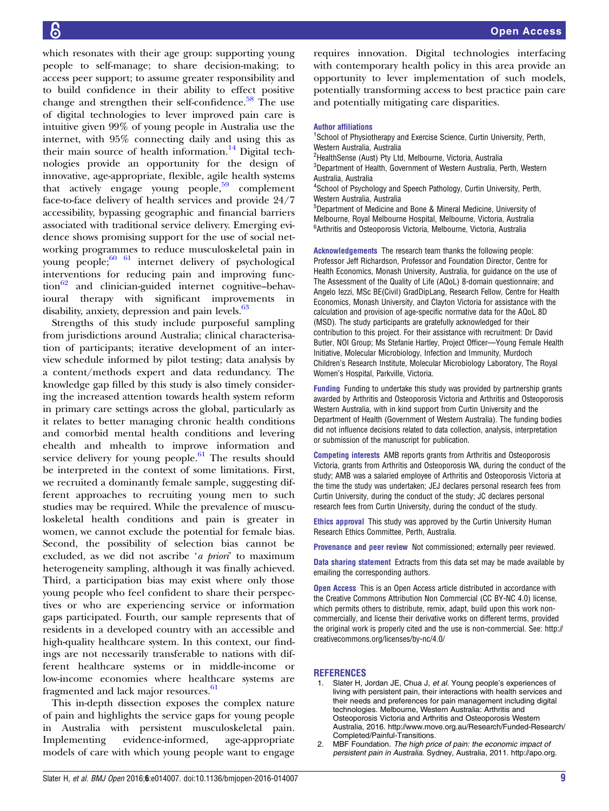<span id="page-8-0"></span>which resonates with their age group: supporting young people to self-manage; to share decision-making; to access peer support; to assume greater responsibility and to build confidence in their ability to effect positive change and strengthen their self-confidence. $58$  The use of digital technologies to lever improved pain care is intuitive given 99% of young people in Australia use the internet, with 95% connecting daily and using this as their main source of health information. $14$  Digital technologies provide an opportunity for the design of innovative, age-appropriate, flexible, agile health systems that actively engage young people,<sup>[59](#page-10-0)</sup> complement face-to-face delivery of health services and provide 24/7 accessibility, bypassing geographic and financial barriers associated with traditional service delivery. Emerging evidence shows promising support for the use of social networking programmes to reduce musculoskeletal pain in young people; $60 - 61$  internet delivery of psychological interventions for reducing pain and improving func- $\frac{62}{2}$  $\frac{62}{2}$  $\frac{62}{2}$  and clinician-guided internet cognitive–behavioural therapy with significant improvements in disability, anxiety, depression and pain levels.<sup>63</sup>

Strengths of this study include purposeful sampling from jurisdictions around Australia; clinical characterisation of participants; iterative development of an interview schedule informed by pilot testing; data analysis by a content/methods expert and data redundancy. The knowledge gap filled by this study is also timely considering the increased attention towards health system reform in primary care settings across the global, particularly as it relates to better managing chronic health conditions and comorbid mental health conditions and levering ehealth and mhealth to improve information and service delivery for young people. $61$  The results should be interpreted in the context of some limitations. First, we recruited a dominantly female sample, suggesting different approaches to recruiting young men to such studies may be required. While the prevalence of musculoskeletal health conditions and pain is greater in women, we cannot exclude the potential for female bias. Second, the possibility of selection bias cannot be excluded, as we did not ascribe 'a priori' to maximum heterogeneity sampling, although it was finally achieved. Third, a participation bias may exist where only those young people who feel confident to share their perspectives or who are experiencing service or information gaps participated. Fourth, our sample represents that of residents in a developed country with an accessible and high-quality healthcare system. In this context, our findings are not necessarily transferable to nations with different healthcare systems or in middle-income or low-income economies where healthcare systems are fragmented and lack major resources.<sup>[61](#page-10-0)</sup>

This in-depth dissection exposes the complex nature of pain and highlights the service gaps for young people in Australia with persistent musculoskeletal pain. Implementing evidence-informed, age-appropriate models of care with which young people want to engage

requires innovation. Digital technologies interfacing with contemporary health policy in this area provide an opportunity to lever implementation of such models, potentially transforming access to best practice pain care and potentially mitigating care disparities.

#### Author affiliations

<sup>1</sup>School of Physiotherapy and Exercise Science, Curtin University, Perth, Western Australia, Australia

<sup>2</sup>HealthSense (Aust) Pty Ltd, Melbourne, Victoria, Australia

<sup>3</sup>Department of Health, Government of Western Australia, Perth, Western Australia, Australia

<sup>4</sup>School of Psychology and Speech Pathology, Curtin University, Perth, Western Australia, Australia

5 Department of Medicine and Bone & Mineral Medicine, University of Melbourne, Royal Melbourne Hospital, Melbourne, Victoria, Australia 6 Arthritis and Osteoporosis Victoria, Melbourne, Victoria, Australia

Acknowledgements The research team thanks the following people: Professor Jeff Richardson, Professor and Foundation Director, Centre for Health Economics, Monash University, Australia, for guidance on the use of The Assessment of the Quality of Life (AQoL) 8-domain questionnaire; and Angelo Iezzi, MSc BE(Civil) GradDipLang, Research Fellow, Centre for Health Economics, Monash University, and Clayton Victoria for assistance with the calculation and provision of age-specific normative data for the AQoL 8D (MSD). The study participants are gratefully acknowledged for their contribution to this project. For their assistance with recruitment: Dr David Butler, NOI Group; Ms Stefanie Hartley, Project Officer—Young Female Health Initiative, Molecular Microbiology, Infection and Immunity, Murdoch Children's Research Institute, Molecular Microbiology Laboratory, The Royal Women's Hospital, Parkville, Victoria.

Funding Funding to undertake this study was provided by partnership grants awarded by Arthritis and Osteoporosis Victoria and Arthritis and Osteoporosis Western Australia, with in kind support from Curtin University and the Department of Health (Government of Western Australia). The funding bodies did not influence decisions related to data collection, analysis, interpretation or submission of the manuscript for publication.

Competing interests AMB reports grants from Arthritis and Osteoporosis Victoria, grants from Arthritis and Osteoporosis WA, during the conduct of the study; AMB was a salaried employee of Arthritis and Osteoporosis Victoria at the time the study was undertaken; JEJ declares personal research fees from Curtin University, during the conduct of the study; JC declares personal research fees from Curtin University, during the conduct of the study.

Ethics approval This study was approved by the Curtin University Human Research Ethics Committee, Perth, Australia.

Provenance and peer review Not commissioned; externally peer reviewed.

Data sharing statement Extracts from this data set may be made available by emailing the corresponding authors.

**Open Access** This is an Open Access article distributed in accordance with the Creative Commons Attribution Non Commercial (CC BY-NC 4.0) license, which permits others to distribute, remix, adapt, build upon this work noncommercially, and license their derivative works on different terms, provided the original work is properly cited and the use is non-commercial. See: [http://](http://creativecommons.org/licenses/by-nc/4.0/) [creativecommons.org/licenses/by-nc/4.0/](http://creativecommons.org/licenses/by-nc/4.0/)

#### **REFERENCES**

- Slater H, Jordan JE, Chua J, et al. Young people's experiences of living with persistent pain, their interactions with health services and their needs and preferences for pain management including digital technologies. Melbourne, Western Australia: Arthritis and Osteoporosis Victoria and Arthritis and Osteoporosis Western Australia, 2016. [http://www.move.org.au/Research/Funded-Research/](http://www.move.org.au/Research/Funded-Research/Completed/Painful-Transitions) [Completed/Painful-Transitions.](http://www.move.org.au/Research/Funded-Research/Completed/Painful-Transitions)
- 2. MBF Foundation. The high price of pain: the economic impact of persistent pain in Australia. Sydney, Australia, 2011. [http://apo.org.](http://apo.org.au/research/high-price-pain-economic-impact-persistent-painaustralia)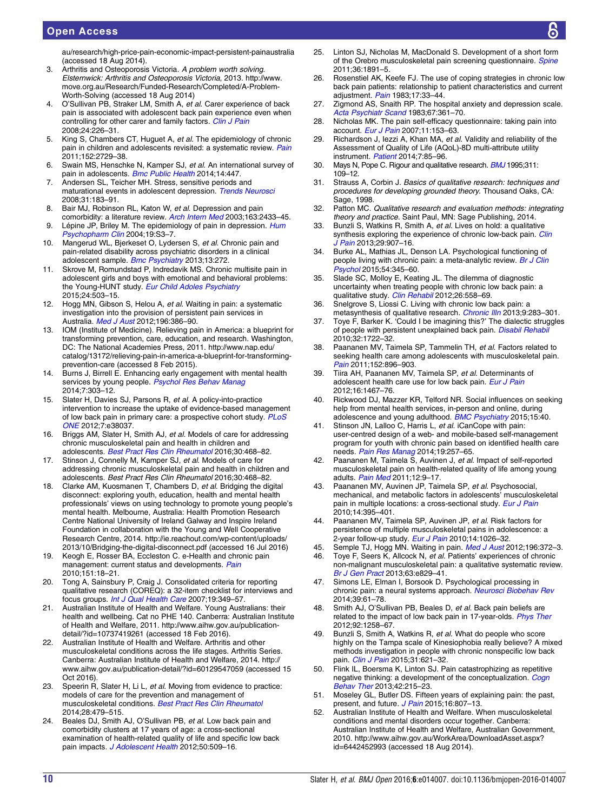### <span id="page-9-0"></span>Open Access

[au/research/high-price-pain-economic-impact-persistent-painaustralia](http://apo.org.au/research/high-price-pain-economic-impact-persistent-painaustralia) (accessed 18 Aug 2014).

- 3. Arthritis and Osteoporosis Victoria. A problem worth solving. Elsternwick: Arthritis and Osteoporosis Victoria, 2013. [http://www.](http://www.move.org.au/Research/Funded-Research/Completed/A-Problem-Worth-Solving) [move.org.au/Research/Funded-Research/Completed/A-Problem-](http://www.move.org.au/Research/Funded-Research/Completed/A-Problem-Worth-Solving)[Worth-Solving](http://www.move.org.au/Research/Funded-Research/Completed/A-Problem-Worth-Solving) (accessed 18 Aug 2014)
- 4. O'Sullivan PB, Straker LM, Smith A, et al. Carer experience of back pain is associated with adolescent back pain experience even when controlling for other carer and family factors. [Clin J Pain](http://dx.doi.org/10.1097/AJP.0b013e3181602131) 2008;24:226–31.
- 5. King S, Chambers CT, Huguet A, et al. The epidemiology of chronic pain in children and adolescents revisited: a systematic review. [Pain](http://dx.doi.org/10.1016/j.pain.2011.07.016) 2011;152:2729–38.
- 6. Swain MS, Henschke N, Kamper SJ, et al. An international survey of pain in adolescents. [Bmc Public Health](http://dx.doi.org/10.1186/1471-2458-14-447) 2014:14:447.
- 7. Andersen SL, Teicher MH. Stress, sensitive periods and maturational events in adolescent depression. [Trends Neurosci](http://dx.doi.org/10.1016/j.tins.2008.01.004) 2008;31:183–91.
- 8. Bair MJ, Robinson RL, Katon W, et al. Depression and pain comorbidity: a literature review. [Arch Intern Med](http://dx.doi.org/10.1001/archinte.163.20.2433) 2003;163:2433-45.
- 9. Lépine JP, Briley M. The epidemiology of pain in depression. [Hum](http://dx.doi.org/10.1002/hup.618) [Psychopharm Clin](http://dx.doi.org/10.1002/hup.618) 2004;19:S3-7.
- 10. Mangerud WL, Bjerkeset O, Lydersen S, et al. Chronic pain and pain-related disability across psychiatric disorders in a clinical adolescent sample. *[Bmc Psychiatry](http://dx.doi.org/10.1186/1471-244X-13-272)* 2013;13:272.
- 11. Skrove M, Romundstad P, Indredavik MS. Chronic multisite pain in adolescent girls and boys with emotional and behavioral problems: the Young-HUNT study. [Eur Child Adoles Psychiatry](http://dx.doi.org/10.1007/s00787-014-0601-4) 2015;24:503–15.
- 12. Hogg MN, Gibson S, Helou A, et al. Waiting in pain: a systematic investigation into the provision of persistent pain services in Australia. [Med J Aust](http://dx.doi.org/10.5694/mja12.10140) 2012;196:386-90.
- 13. IOM (Institute of Medicine). Relieving pain in America: a blueprint for transforming prevention, care, education, and research. Washington, DC: The National Academies Press, 2011. [http://www.nap.edu/](http://www.nap.edu/catalog/13172/relieving-pain-in-america-a-blueprint-for-transforming-prevention-care) [catalog/13172/relieving-pain-in-america-a-blueprint-for-transforming](http://www.nap.edu/catalog/13172/relieving-pain-in-america-a-blueprint-for-transforming-prevention-care)[prevention-care](http://www.nap.edu/catalog/13172/relieving-pain-in-america-a-blueprint-for-transforming-prevention-care) (accessed 8 Feb 2015).
- 14. Burns J, Birrell E. Enhancing early engagement with mental health services by young people. [Psychol Res Behav Manag](http://dx.doi.org/10.2147/PRBM.S49151) 2014;7:303–12.
- 15. Slater H, Davies SJ, Parsons R, et al. A policy-into-practice intervention to increase the uptake of evidence-based management of low back pain in primary care: a prospective cohort study. [PLoS](http://dx.doi.org/10.1371/journal.pone.0038037) [ONE](http://dx.doi.org/10.1371/journal.pone.0038037) 2012;7:e38037.
- 16. Briggs AM, Slater H, Smith AJ, et al. Models of care for addressing chronic musculoskeletal pain and health in children and adolescents. [Best Pract Res Clin Rheumatol](http://dx.doi.org/10.1002/j.1532-2149.2012.00246.x) 2016;30:468–82.
- 17. Stinson J, Connelly M, Kamper SJ, et al. Models of care for addressing chronic musculoskeletal pain and health in children and adolescents. Best Pract Res Clin Rheumatol 2016;30:468–82.
- 18. Clarke AM, Kuosmanen T, Chambers D, et al. Bridging the digital disconnect: exploring youth, education, health and mental health professionals' views on using technology to promote young people's mental health. Melbourne, Australia: Health Promotion Research Centre National University of Ireland Galway and Inspire Ireland Foundation in collaboration with the Young and Well Cooperative Research Centre, 2014. [http://ie.reachout.com/wp-content/uploads/](http://ie.reachout.com/wp-content/uploads/2013/10/Bridging-the-digital-disconnect.pdf) [2013/10/Bridging-the-digital-disconnect.pdf](http://ie.reachout.com/wp-content/uploads/2013/10/Bridging-the-digital-disconnect.pdf) (accessed 16 Jul 2016)
- 19. Keogh E, Rosser BA, Eccleston C. e-Health and chronic pain management: current status and developments. [Pain](http://dx.doi.org/10.1016/j.pain.2010.07.014) 2010;151:18–21.
- 20. Tong A, Sainsbury P, Craig J. Consolidated criteria for reporting qualitative research (COREQ): a 32-item checklist for interviews and focus groups. [Int J Qual Health Care](http://dx.doi.org/10.1093/intqhc/mzm042) 2007;19:349-57.
- 21. Australian Institute of Health and Welfare. Young Australians: their health and wellbeing. Cat no PHE 140. Canberra: Australian Institute of Health and Welfare, 2011. [http://www.aihw.gov.au/publication](http://www.aihw.gov.au/publication-detail/?id=10737419261)[detail/?id=10737419261](http://www.aihw.gov.au/publication-detail/?id=10737419261) (accessed 18 Feb 2016).
- 22. Australian Institute of Health and Welfare. Arthritis and other musculoskeletal conditions across the life stages. Arthritis Series. Canberra: Australian Institute of Health and Welfare, 2014. [http://](http://www.aihw.gov.au/publication-detail/?id=60129547059) [www.aihw.gov.au/publication-detail/?id=60129547059](http://www.aihw.gov.au/publication-detail/?id=60129547059) (accessed 15 Oct 2016).
- 23. Speerin R, Slater H, Li L, et al. Moving from evidence to practice: models of care for the prevention and management of musculoskeletal conditions. [Best Pract Res Clin Rheumatol](http://dx.doi.org/10.1016/j.berh.2014.07.001) 2014;28:479–515.
- 24. Beales DJ, Smith AJ, O'Sullivan PB, et al. Low back pain and comorbidity clusters at 17 years of age: a cross-sectional examination of health-related quality of life and specific low back pain impacts. [J Adolescent Health](http://dx.doi.org/10.1016/j.jadohealth.2011.09.017) 2012;50:509-16.
- 25. Linton SJ, Nicholas M, MacDonald S. Development of a short form of the Orebro musculoskeletal pain screening questionnaire. [Spine](http://dx.doi.org/10.1097/BRS.0b013e3181f8f775) 2011;36:1891–5.
- 26. Rosenstiel AK, Keefe FJ. The use of coping strategies in chronic low back pain patients: relationship to patient characteristics and current adjustment. [Pain](http://dx.doi.org/10.1016/0304-3959(83)90125-2) 1983;17:33–44.
- 27. Zigmond AS, Snaith RP. The hospital anxiety and depression scale. [Acta Psychiatr Scand](http://dx.doi.org/10.1111/j.1600-0447.1983.tb09716.x) 1983;67:361-70.
- 28. Nicholas MK. The pain self-efficacy questionnaire: taking pain into account. [Eur J Pain](http://dx.doi.org/10.1016/j.ejpain.2005.12.008) 2007;11:153–63.
- 29. Richardson J, Iezzi A, Khan MA, et al. Validity and reliability of the Assessment of Quality of Life (AQoL)-8D multi-attribute utility instrument. [Patient](http://dx.doi.org/10.1007/s40271-013-0036-x) 2014;7:85-96.
- 30. Mays N, Pope C. Rigour and qualitative research. **[BMJ](http://dx.doi.org/10.1136/bmj.311.6997.109) 1995**;311: 109–12.
- 31. Strauss A, Corbin J. Basics of qualitative research: techniques and procedures for developing grounded theory. Thousand Oaks, CA: Sage, 1998
- 32. Patton MC. Qualitative research and evaluation methods: integrating theory and practice. Saint Paul, MN: Sage Publishing, 2014.
- 33. Bunzli S, Watkins R, Smith A, et al. Lives on hold: a qualitative synthesis exploring the experience of chronic low-back pain. [Clin](http://dx.doi.org/10.1097/AJP.0b013e31827a6dd8) [J Pain](http://dx.doi.org/10.1097/AJP.0b013e31827a6dd8) 2013;29:907-16.
- 34. Burke AL, Mathias JL, Denson LA. Psychological functioning of people living with chronic pain: a meta-analytic review. [Br J Clin](http://dx.doi.org/10.1111/bjc.12078) [Psychol](http://dx.doi.org/10.1111/bjc.12078) 2015;54:345-60.
- 35. Slade SC, Molloy E, Keating JL. The dilemma of diagnostic uncertainty when treating people with chronic low back pain: a qualitative study. [Clin Rehabil](http://dx.doi.org/10.1177/0269215511420179) 2012;26:558-69.
- 36. Snelgrove S, Liossi C. Living with chronic low back pain: a metasynthesis of qualitative research. Chronic IIIn 2013;9:283-301.
- 37. Toye F, Barker K. 'Could I be imagining this?' The dialectic struggles of people with persistent unexplained back pain. [Disabil Rehabil](http://dx.doi.org/10.3109/09638281003657857) 2010;32:1722–32.
- 38. Paananen MV, Taimela SP, Tammelin TH, et al. Factors related to seeking health care among adolescents with musculoskeletal pain. [Pain](http://dx.doi.org/10.1016/j.pain.2011.01.002) 2011;152:896–903.
- 39. Tiira AH, Paananen MV, Taimela SP, et al. Determinants of adolescent health care use for low back pain. [Eur J Pain](http://dx.doi.org/10.1002/j.1532-2149.2012.00178.x) 2012;16:1467–76.
- 40. Rickwood DJ, Mazzer KR, Telford NR. Social influences on seeking help from mental health services, in-person and online, during adolescence and young adulthood. [BMC Psychiatry](http://dx.doi.org/10.1186/s12888-015-0429-6) 2015;15:40.
- 41. Stinson JN, Lalloo C, Harris L, et al. iCanCope with pain: user-centred design of a web- and mobile-based self-management program for youth with chronic pain based on identified health care needs. [Pain Res Manag](http://dx.doi.org/10.1155/2014/935278) 2014;19:257–65.
- 42. Paananen M, Taimela S, Auvinen J, et al. Impact of self-reported musculoskeletal pain on health-related quality of life among young adults. [Pain Med](http://dx.doi.org/10.1111/j.1526-4637.2010.01029.x) 2011;12:9–17.
- 43. Paananen MV, Auvinen JP, Taimela SP, et al. Psychosocial, mechanical, and metabolic factors in adolescents' musculoskeletal pain in multiple locations: a cross-sectional study. [Eur J Pain](http://dx.doi.org/10.1016/j.ejpain.2009.06.003) 2010;14:395–401.
- 44. Paananen MV, Taimela SP, Auvinen JP, et al. Risk factors for persistence of multiple musculoskeletal pains in adolescence: a 2-year follow-up study. [Eur J Pain](http://dx.doi.org/10.1016/j.ejpain.2010.03.011) 2010;14:1026-32.
- 45. Semple TJ, Hogg MN. Waiting in pain. *[Med J Aust](http://dx.doi.org/10.5694/mja12.10148)* 2012;196:372–3.<br>46. Tove E Seers K. Allcock N. et al. Patients' experiences of chronic
- Toye F, Seers K, Allcock N, et al. Patients' experiences of chronic non-malignant musculoskeletal pain: a qualitative systematic review. [Br J Gen Pract](http://dx.doi.org/10.3399/bjgp13X675412) 2013;63:e829–41.
- 47. Simons LE, Elman I, Borsook D. Psychological processing in chronic pain: a neural systems approach. [Neurosci Biobehav Rev](http://dx.doi.org/10.1016/j.neubiorev.2013.12.006) 2014;39:61–78.
- 48. Smith AJ, O'Sullivan PB, Beales D, et al. Back pain beliefs are related to the impact of low back pain in 17-year-olds. [Phys Ther](http://dx.doi.org/10.2522/ptj.20110396) 2012;92:1258–67.
- 49. Bunzli S, Smith A, Watkins R, et al. What do people who score highly on the Tampa scale of Kinesiophobia really believe? A mixed methods investigation in people with chronic nonspecific low back pain. *[Clin J Pain](http://dx.doi.org/10.1097/AJP.0000000000000143)* 2015;31:621-32.
- 50. Flink IL, Boersma K, Linton SJ. Pain catastrophizing as repetitive negative thinking: a development of the conceptualization. [Cogn](http://dx.doi.org/10.1080/16506073.2013.769621) [Behav Ther](http://dx.doi.org/10.1080/16506073.2013.769621) 2013;42:215–23.
- 51. Moseley GL, Butler DS. Fifteen years of explaining pain: the past, present, and future. [J Pain](http://dx.doi.org/10.1016/j.jpain.2015.05.005) 2015;16:807-13.
- 52. Australian Institute of Health and Welfare. When musculoskeletal conditions and mental disorders occur together. Canberra: Australian Institute of Health and Welfare, Australian Government, 2010. [http://www.aihw.gov.au/WorkArea/DownloadAsset.aspx?](http://www.aihw.gov.au/WorkArea/DownloadAsset.aspx?id=6442452993) [id=6442452993](http://www.aihw.gov.au/WorkArea/DownloadAsset.aspx?id=6442452993) (accessed 18 Aug 2014).